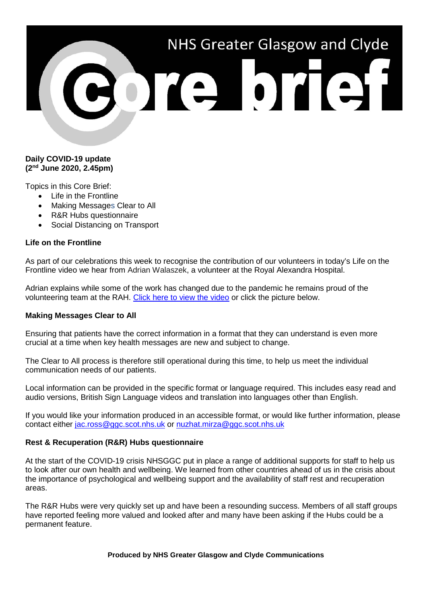# NHS Greater Glasgow and Clyde

## **Daily COVID-19 update (2nd June 2020, 2.45pm)**

Topics in this Core Brief:

- Life in the Frontline
- Making Messages Clear to All
- R&R Hubs questionnaire
- Social Distancing on Transport

# **Life on the Frontline**

As part of our celebrations this week to recognise the contribution of our volunteers in today's Life on the Frontline video we hear from Adrian Walaszek, a volunteer at the Royal Alexandra Hospital.

Adrian explains while some of the work has changed due to the pandemic he remains proud of the volunteering team at the RAH. [Click here to view the video](https://www.youtube.com/watch?v=XLQKyaiRc3M) or click the picture below.

#### **Making Messages Clear to All**

Ensuring that patients have the correct information in a format that they can understand is even more crucial at a time when key health messages are new and subject to change.

The Clear to All process is therefore still operational during this time, to help us meet the individual communication needs of our patients.

Local information can be provided in the specific format or language required. This includes easy read and audio versions, British Sign Language videos and translation into languages other than English.

If you would like your information produced in an accessible format, or would like further information, please contact either [jac.ross@ggc.scot.nhs.uk](mailto:jac.ross@ggc.scot.nhs.uk) or [nuzhat.mirza@ggc.scot.nhs.uk](mailto:nuzhat.mirza@ggc.scot.nhs.uk)

#### **Rest & Recuperation (R&R) Hubs questionnaire**

At the start of the COVID-19 crisis NHSGGC put in place a range of additional supports for staff to help us to look after our own health and wellbeing. We learned from other countries ahead of us in the crisis about the importance of psychological and wellbeing support and the availability of staff rest and recuperation areas.

The R&R Hubs were very quickly set up and have been a resounding success. Members of all staff groups have reported feeling more valued and looked after and many have been asking if the Hubs could be a permanent feature.

**Produced by NHS Greater Glasgow and Clyde Communications**